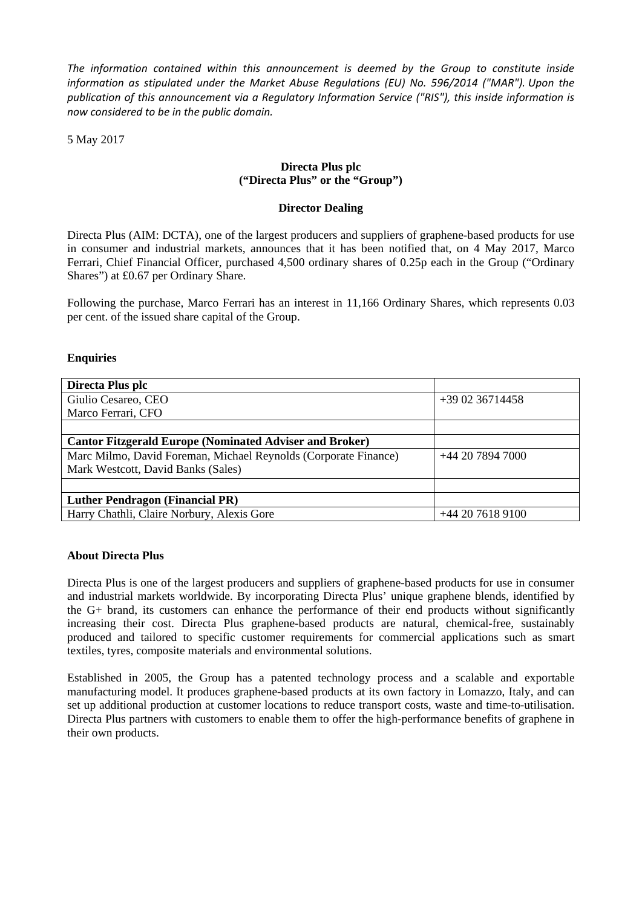*The information contained within this announcement is deemed by the Group to constitute inside information as stipulated under the Market Abuse Regulations (EU) No. 596/2014 ("MAR"). Upon the publication of this announcement via a Regulatory Information Service ("RIS"), this inside information is now considered to be in the public domain.*

5 May 2017

## **Directa Plus plc ("Directa Plus" or the "Group")**

## **Director Dealing**

Directa Plus (AIM: DCTA), one of the largest producers and suppliers of graphene-based products for use in consumer and industrial markets, announces that it has been notified that, on 4 May 2017, Marco Ferrari, Chief Financial Officer, purchased 4,500 ordinary shares of 0.25p each in the Group ("Ordinary Shares") at £0.67 per Ordinary Share.

Following the purchase, Marco Ferrari has an interest in 11,166 Ordinary Shares, which represents 0.03 per cent. of the issued share capital of the Group.

## **Enquiries**

| Directa Plus plc                                                |                 |
|-----------------------------------------------------------------|-----------------|
| Giulio Cesareo, CEO                                             | $+390236714458$ |
| Marco Ferrari, CFO                                              |                 |
|                                                                 |                 |
| <b>Cantor Fitzgerald Europe (Nominated Adviser and Broker)</b>  |                 |
| Marc Milmo, David Foreman, Michael Reynolds (Corporate Finance) | $+442078947000$ |
| Mark Westcott, David Banks (Sales)                              |                 |
|                                                                 |                 |
| <b>Luther Pendragon (Financial PR)</b>                          |                 |
| Harry Chathli, Claire Norbury, Alexis Gore                      | $+442076189100$ |

## **About Directa Plus**

Directa Plus is one of the largest producers and suppliers of graphene-based products for use in consumer and industrial markets worldwide. By incorporating Directa Plus' unique graphene blends, identified by the G+ brand, its customers can enhance the performance of their end products without significantly increasing their cost. Directa Plus graphene-based products are natural, chemical-free, sustainably produced and tailored to specific customer requirements for commercial applications such as smart textiles, tyres, composite materials and environmental solutions.

Established in 2005, the Group has a patented technology process and a scalable and exportable manufacturing model. It produces graphene-based products at its own factory in Lomazzo, Italy, and can set up additional production at customer locations to reduce transport costs, waste and time-to-utilisation. Directa Plus partners with customers to enable them to offer the high-performance benefits of graphene in their own products.